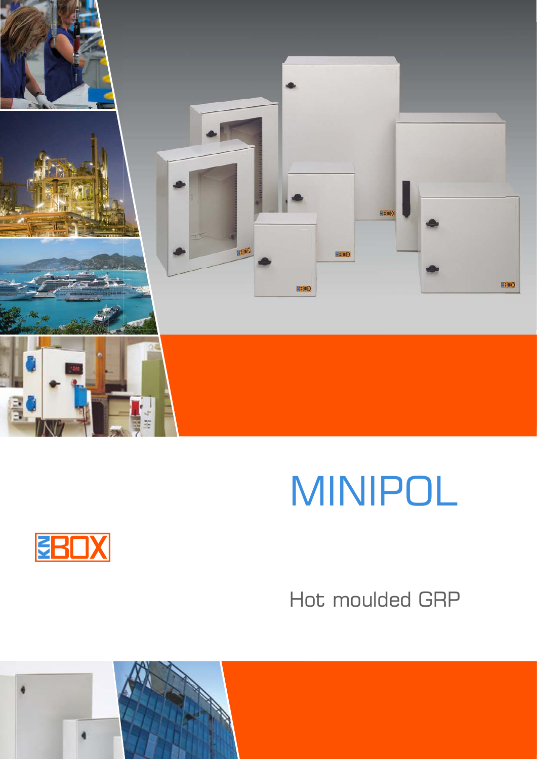

# MINIPOL



## Hot moulded GRP

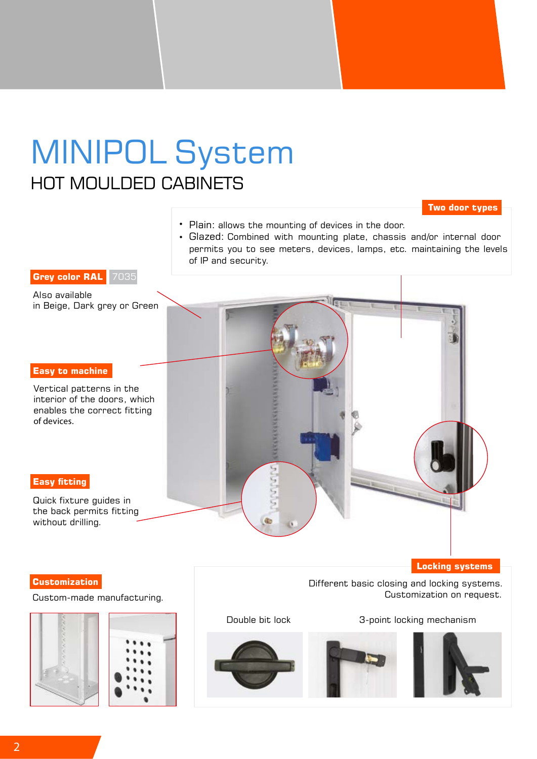## MINIPOL System HOT MOULDED CABINETS

#### **Two door types**

- Plain: allows the mounting of devices in the door.
- Glazed: Combined with mounting plate, chassis and/or internal door permits you to see meters, devices, lamps, etc. maintaining the levels of IP and security.

#### **Grey color RAL** 7035

Also available in Beige, Dark grey or Green

#### **Easy to machine**

Vertical patterns in the interior of the doors, which enables the correct fitting of devices.

#### **Easy fitting**

Quick fixture guides in the back permits fitting without drilling.

#### **Customization**

#### Custom-made manufacturing.





Double bit lock 3-point locking mechanism

Customization on request.

**Locking systems**

Different basic closing and locking systems.





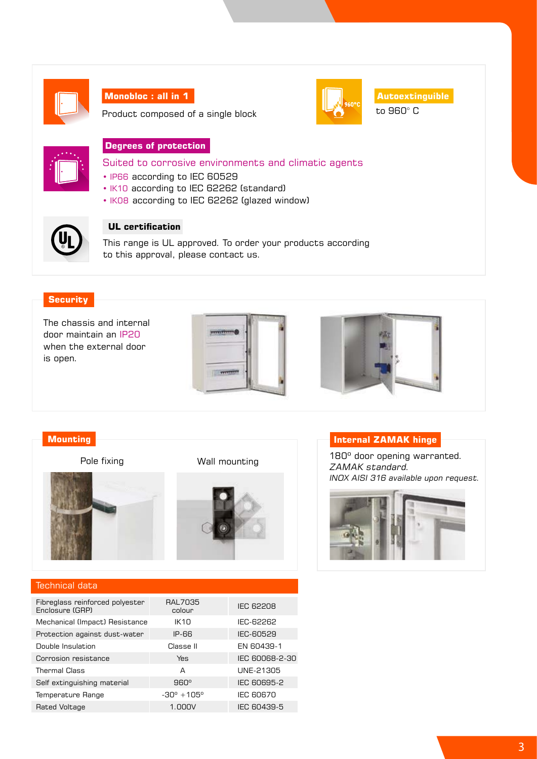

#### **Monobloc : all in 1**

Product composed of a single block



to 960° C **Autoextinguible**

#### **Degrees of protection**

Suited to corrosive environments and climatic agents

- IP66 according to IEC 60529
- IK10 according to IEC 62262 (standard)
- IK08 according to IEC 62262 (glazed window)



#### **UL certification**

This range is UL approved. To order your products according to this approval, please contact us.

#### **Security**

The chassis and internal door maintain an IP20 when the external door is open.





#### **Mounting**



Pole fixing Wall mounting



#### Technical data Fibreglass reinforced polyester Enclosure (GRP) RAL7035<br>colour **IEC 62208** Mechanical (Impact) Resistance IK10 IEC-62262 Protection against dust-water IP-66 IEC-60529 Double Insulation Classe II EN 60439-1 Corrosion resistance Yes IEC 60068-2-30 Thermal Class **A** UNE-21305 Self extinguishing material 960° IEC 60695-2 Temperature Range  $-30^\circ +105^\circ$  IEC 60670 Rated Voltage **1.000V** IEC 60439-5

#### **Internal ZAMAK hinge**

180º door opening warranted. ZAMAK standard. INOX AISI 316 available upon request.

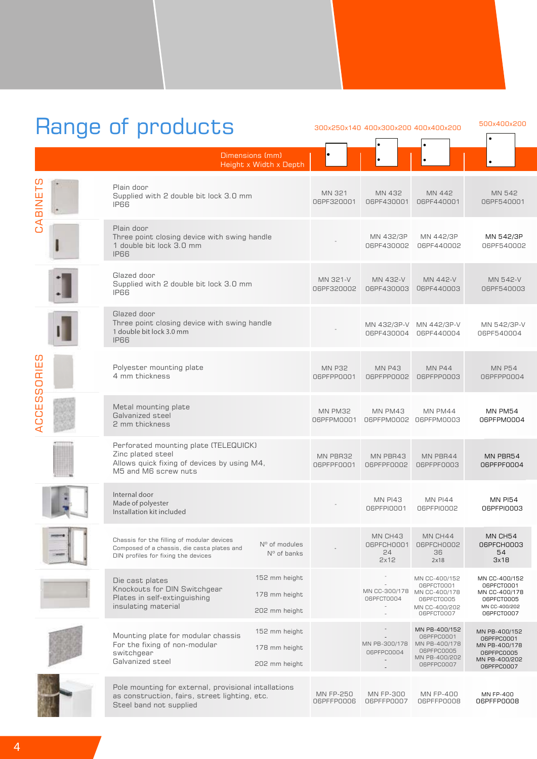## Range of products 300x250x140 400x300x200 400x400x200

|                                   | manga umproducto                                                                                                                  |                                                 |                                |                                     |                                                                                           |                                                                                           |
|-----------------------------------|-----------------------------------------------------------------------------------------------------------------------------------|-------------------------------------------------|--------------------------------|-------------------------------------|-------------------------------------------------------------------------------------------|-------------------------------------------------------------------------------------------|
|                                   |                                                                                                                                   | Dimensions (mm)<br>Height x Width x Depth       |                                |                                     |                                                                                           |                                                                                           |
| CABINETS                          | Plain door<br>Supplied with 2 double bit lock 3.0 mm<br><b>IP66</b>                                                               |                                                 | MN 321<br>06PF320001           | MN 432<br>06PF430001                | MN 442<br>06PF440001                                                                      | MN 542<br>06PF540001                                                                      |
|                                   | Plain door<br>Three point closing device with swing handle<br>1 double bit lock 3.0 mm<br><b>IP66</b>                             |                                                 |                                | MN 432/3P<br>06PF430002             | MN 442/3P<br>06PF440002                                                                   | MN 542/3P<br>06PF540002                                                                   |
|                                   | Glazed door<br>Supplied with 2 double bit lock 3.0 mm<br><b>IP66</b>                                                              |                                                 | MN 321-V<br>06PF320002         | MN 432-V<br>06PF430003              | MN 442-V<br>06PF440003                                                                    | MN 542-V<br>06PF540003                                                                    |
|                                   | Glazed door<br>Three point closing device with swing handle<br>1 double bit lock 3.0 mm<br><b>IP66</b>                            |                                                 |                                | 06PF430004                          | MN 432/3P-V MN 442/3P-V<br>06PF440004                                                     | MN 542/3P-V<br>06PF540004                                                                 |
| C<br>$\frac{11}{11}$<br><b>OS</b> | Polyester mounting plate<br>4 mm thickness                                                                                        |                                                 | <b>MN P32</b><br>06PFPP0001    | <b>MN P43</b><br>06PFPP0002         | <b>MN P44</b><br>06PFPP0003                                                               | <b>MN P54</b><br>06PFPP0004                                                               |
| <b>ACCES</b>                      | Metal mounting plate<br>Galvanized steel<br>2 mm thickness                                                                        |                                                 | MN PM32<br>06PFPM0001          | MN PM43                             | MN PM44<br>06PFPM0002 06PFPM0003                                                          | MN PM54<br>06PFPM0004                                                                     |
|                                   | Perforated mounting plate (TELEQUICK)<br>Zinc plated steel<br>Allows quick fixing of devices by using M4,<br>M5 and M6 screw nuts |                                                 | MN PBR32<br>06PFPF0001         | MN PBR43<br>06PFPF0002              | MN PBR44<br>06PFPF0003                                                                    | MN PBR54<br>06PFPF0004                                                                    |
|                                   | Internal door<br>Made of polyester<br>Installation kit included                                                                   |                                                 |                                | <b>MN PI43</b><br>06PFPI0001        | <b>MN PI44</b><br>06PFPI0002                                                              | <b>MN PI54</b><br>06PFPI0003                                                              |
|                                   | Chassis for the filling of modular devices<br>Composed of a chassis, die casta plates and<br>DIN profiles for fixing the devices  | Nº of modules<br>$No$ of banks                  |                                | MN CH43<br>06PFCH0001<br>24<br>2x12 | MN CH44<br>06PFCH0002<br>36<br>2x18                                                       | MN CH54<br>06PFCH0003<br>54<br>3x18                                                       |
|                                   | Die cast plates<br>Knockouts for DIN Switchgear<br>Plates in self-extinguishing<br>insulating material                            | 152 mm height<br>178 mm height<br>202 mm height |                                | MN CC-300/178<br>06PFCT0004         | MN CC-400/152<br>06PFCT0001<br>MN CC-400/178<br>06PFCT0005<br>MN CC-400/202<br>06PFCT0007 | MN CC-400/152<br>06PFCT0001<br>MN CC-400/178<br>06PFCT0005<br>MN CC-400/202<br>06PFCT0007 |
|                                   | Mounting plate for modular chassis<br>For the fixing of non-modular<br>switchgear<br>Galvanized steel                             | 152 mm height<br>178 mm height<br>202 mm height |                                | MN PB-300/178<br>06PFPC0004         | MN PB-400/152<br>06PFPC0001<br>MN PB-400/178<br>06PFPC0005<br>MN PB-400/202<br>06PFPC0007 | MN PB-400/152<br>06PFPC0001<br>MN PB-400/178<br>06PFPC0005<br>MN PB-400/202<br>06PFPC0007 |
|                                   | Pole mounting for external, provisional intallations<br>as construction, fairs, street lighting, etc.<br>Ctool hand not cupplied  |                                                 | <b>MN FP-250</b><br>06PFFP0006 | MN FP-300<br>06PFFP0007             | <b>MN FP-400</b><br>06PFFP0008                                                            | MN FP-400<br>06PFFP0008                                                                   |

500x400x200

Steel band not supplied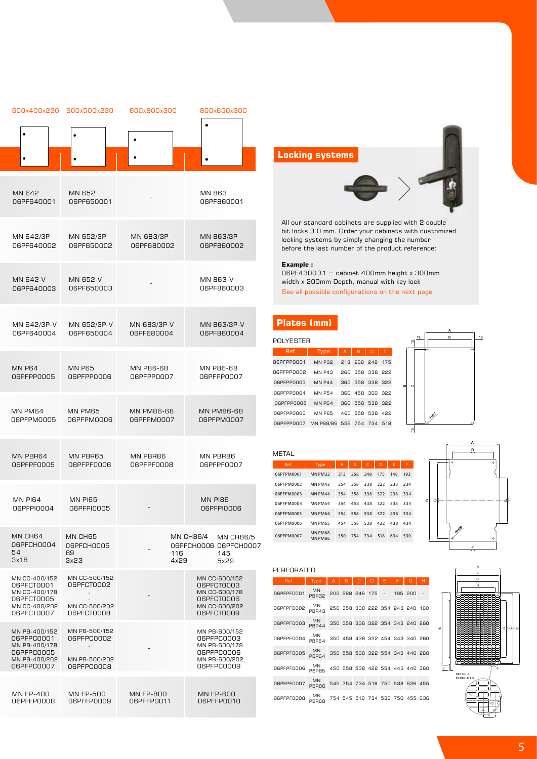| 600x400x230                                                                               | 600x500x230                                                                            | 600x800x300       | 800x600x300                                                                               |
|-------------------------------------------------------------------------------------------|----------------------------------------------------------------------------------------|-------------------|-------------------------------------------------------------------------------------------|
|                                                                                           |                                                                                        |                   |                                                                                           |
|                                                                                           |                                                                                        |                   |                                                                                           |
| MN 642                                                                                    | MN 652                                                                                 |                   | MN 863                                                                                    |
| 06PF640001                                                                                | 06PF650001                                                                             |                   | 06PF860001                                                                                |
| MN 642/3P                                                                                 | MN 652/3P                                                                              | MN 683/3P         | MN 863/3P                                                                                 |
| 06PF640002                                                                                | 06PF650002                                                                             | 06PF680002        | 06PF860002                                                                                |
| MN 642-V                                                                                  | MN 652-V                                                                               |                   | MN 863-V                                                                                  |
| 06PF640003                                                                                | 06PF650003                                                                             |                   | 06PF860003                                                                                |
| MN 642/3P-V                                                                               | MN 652/3P-V                                                                            | MN 683/3P-V       | MN 863/3P-V                                                                               |
| 06PF640004                                                                                | 06PF650004                                                                             | 06PF680004        | 06PF860004                                                                                |
| <b>MN P64</b>                                                                             | <b>MN P65</b>                                                                          | MN P86-68         | MN P86-68                                                                                 |
| 06PFPP0005                                                                                | 06PFPP0006                                                                             | 06PFPP0007        | 06PFPP0007                                                                                |
| MN PM64                                                                                   | MN PM65                                                                                | <b>MN PM86-68</b> | <b>MN PM86-68</b>                                                                         |
| 06PFPM0005                                                                                | 06PFPM0006                                                                             | 06PFPM0007        | 06PFPM0007                                                                                |
| MN PBR64                                                                                  | MN PBR65                                                                               | MN PBR86          | MN PBR86                                                                                  |
| 06PFPF0005                                                                                | 06PFPF0006                                                                             | 06PFPF0008        | 06PFPF0007                                                                                |
| <b>MN PI64</b>                                                                            | MN PI65                                                                                |                   | <b>MN PI86</b>                                                                            |
| 06PFPI0004                                                                                | 06PFPI0005                                                                             |                   | 06PFPI0006                                                                                |
| MN CH64<br>06PFCH0004<br>54<br>3x18                                                       | MN CH65<br>06PFCH0005<br>69<br>3x23                                                    | 116<br>4x29       | <b>MN CH86/4</b><br><b>MN CH86/5</b><br>06PFCH0006 06PFCH0007<br>145<br>5x29              |
| MN CC-400/152<br>06PFCT0001<br>MN CC-400/178<br>06PFCT0005<br>MN CC-400/202<br>06PFCT0007 | MN CC-500/152<br>06PFCT0002<br>$\overline{\phantom{a}}$<br>MN CC-500/202<br>06PFCT0008 |                   | MN CC-600/152<br>06PFCT0003<br>MN CC-600/178<br>06PFCT0006<br>MN CC-600/202<br>06PFCT0009 |
| MN PB-400/152<br>06PFPC0001<br>MN PB-400/178<br>06PFPC0005<br>MN PB-400/202<br>06PFPC0007 | MN PB-500/152<br>06PFPC0002<br>$\overline{\phantom{a}}$<br>MN PB-500/202<br>06PFPC0008 |                   | MN PB-600/152<br>06PFPC0003<br>MN PB-600/178<br>06PFPC0006<br>MN PB-600/202<br>06PFPC0009 |
| MN FP-400                                                                                 | <b>MN FP-500</b>                                                                       | <b>MN FP-800</b>  | MN FP-600                                                                                 |

06PFFP0008

06PFFP0009

06PFFP0011

#### **Locking systems**

All our standard cabinets are supplied with 2 double bit locks 3.0 mm. Order your cabinets with customized locking systems by simply changing the number before the last number of the product reference:

#### **Example :**

06PF430031 = cabinet 400mm height x 300mm width x 200mm Depth, manual with key lock See all possible configurations on the next page

#### **Plates (mm)**

| POI YESTER |                           |                |   |                 |   |
|------------|---------------------------|----------------|---|-----------------|---|
| Ref.       | Type                      | $\overline{A}$ | B | C               | D |
| 06PFPP0001 | <b>MN P32</b>             |                |   | 213 268 248 175 |   |
| 06PFPP0002 | MN P43                    |                |   | 260 358 338 222 |   |
| 06PFPP0003 | MN P44                    |                |   | 360 358 338 322 |   |
| 06PFPP0004 | <b>MN P54</b>             |                |   | 360 458 360 322 |   |
| 06PFPP0005 | MN P64                    |                |   | 360 558 538 322 |   |
| 06PFPP0006 | <b>MN P65</b>             |                |   | 460 558 538 422 |   |
| 06PFPP0007 | MN P68/86 556 754 734 518 |                |   |                 |   |



| METAL      |                    |                |     |     |     |     |     |
|------------|--------------------|----------------|-----|-----|-----|-----|-----|
| Ref.       | Type               | $\overline{A}$ | B   | C   | D   | E   | F   |
| 06PFPM0001 | MN PM32            | 213            | 268 | 248 | 175 | 148 | 193 |
| 06PFPM0002 | MN PM43            | 254            | 358 | 338 | 222 | 238 | 234 |
| 06PFPM0003 | MN PM44            | 354            | 358 | 338 | 322 | 238 | 334 |
| 06PFPM0004 | <b>MN PM54</b>     | 354            | 458 | 438 | 322 | 338 | 334 |
| 06PFPM0005 | MN PM64            | 354            | 558 | 538 | 322 | 438 | 334 |
| 06PFPM0006 | MN PM65            | 454            | 558 | 538 | 422 | 438 | 434 |
| 06PFPM0007 | MN PM68<br>MN PM86 | 550            | 754 | 734 | 518 | 634 | 530 |



#### PERFORATED

06PFFP0010

| Ref.       | Type               | A | B |                                 |  | G       | н.  |
|------------|--------------------|---|---|---------------------------------|--|---------|-----|
| 06PFPF0001 | <b>MN</b><br>PBR32 |   |   | 202 268 248 175                 |  | 195 200 |     |
| 06PFPF0002 | MN<br>PBR43        |   |   | 250 358 338 222 354 243 240 160 |  |         |     |
| 06PFPF0003 | <b>MN</b><br>PBR44 |   |   | 350 358 338 322 354 343 240 260 |  |         |     |
| 06PFPF0004 | MN<br><b>PBR54</b> |   |   | 350 458 438 322 454 343 340 260 |  |         |     |
| 06PFPF0005 | <b>MN</b><br>PBR64 |   |   | 350 558 538 322 554 343 440 260 |  |         |     |
| 06PFPF0006 | MN<br>PBR65        |   |   | 450 558 538 422 554 443 440 360 |  |         |     |
| 06PFPF0007 | <b>MN</b><br>PBR86 |   |   | 545 754 734 518 750 538 636 455 |  |         |     |
| 06PFPF0008 | MN<br>PBR68        |   |   | 754 545 518 734 538             |  | 750 455 | 636 |

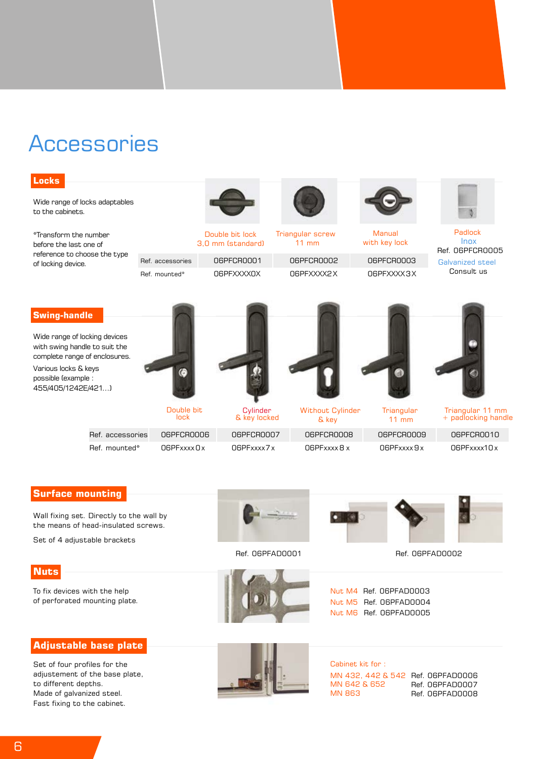### **Accessories**



Set of 4 adjustable brackets

**Nuts**

To fix devices with the help of perforated mounting plate.

#### **Adjustable base plate**

Set of four profiles for the adjustement of the base plate, to different depths. Made of galvanized steel. Fast fixing to the cabinet.



Ref. 06PFAD0001



Ref. 06PFAD0002

Nut M4 Ref. 06PFAD0003 Nut M5 Ref. 06PFAD0004 Nut M6 Ref. 06PFAD0005



Cabinet kit for : MN 432, 442 & 542 Ref. 06PFAD0006 MN 642 & 652 MN 863

Ref. 06PFAD0007 Ref. 06PFAD0008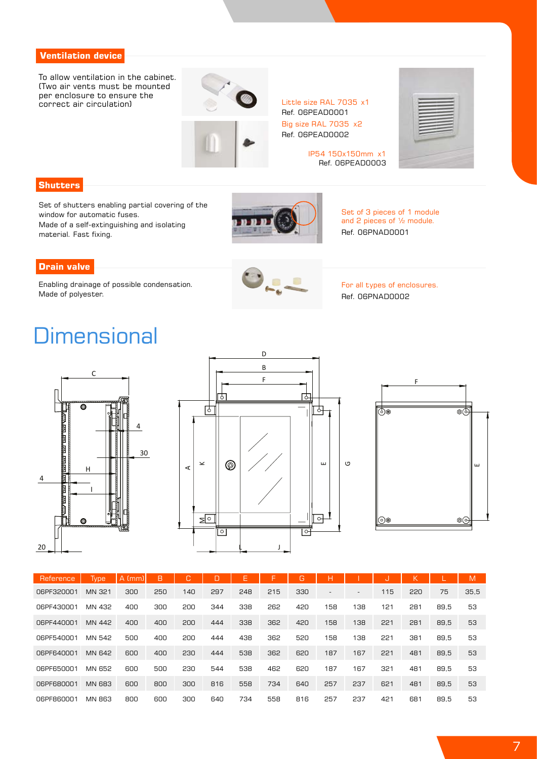#### **Ventilation device**

To allow ventilation in the cabinet. (Two air vents must be mounted per enclosure to ensure the per enclosure to ensure the correct air circulation) Little size RAL 7035 x1



Ref. 06PEAD0001 Big size RAL 7035 x2 Ref. 06PEAD0002

> IP54 150x150mm x1 Ref. 06PEAD0003



#### **Shutters**

Set of shutters enabling partial covering of the window for automatic fuses. Made of a self-extinguishing and isolating material. Fast fixing.



Set of 3 pieces of 1 module and 2 pieces of ½ module. Ref. 06PNAD0001

#### **Drain valve**

Enabling drainage of possible condensation. Made of polyester.



For all types of enclosures. Ref. 06PNAD0002

## **Dimensional**







| <b>Reference</b> | <b>Type</b>   | A (mm) | B   | C.  | D   | E   | F   | G   | Н                        |     | U   | ĸ   |      | M    |
|------------------|---------------|--------|-----|-----|-----|-----|-----|-----|--------------------------|-----|-----|-----|------|------|
| 06PF320001       | MN 321        | 300    | 250 | 140 | 297 | 248 | 215 | 330 | $\overline{\phantom{a}}$ |     | 115 | 220 | 75   | 35,5 |
| 06PF430001       | MN 432        | 400    | 300 | 200 | 344 | 338 | 262 | 420 | 158                      | 138 | 121 | 281 | 89.5 | 53   |
| 06PF440001       | MN 442        | 400    | 400 | 200 | 444 | 338 | 362 | 420 | 158                      | 138 | 221 | 281 | 89.5 | 53   |
| 06PF540001       | MN 542        | 500    | 400 | 200 | 444 | 438 | 362 | 520 | 158                      | 138 | 221 | 381 | 89.5 | 53   |
| 06PF640001       | MN 642        | 600    | 400 | 230 | 444 | 538 | 362 | 620 | 187                      | 167 | 221 | 481 | 89.5 | 53   |
| 06PF650001       | MN 652        | 600    | 500 | 230 | 544 | 538 | 462 | 620 | 187                      | 167 | 321 | 481 | 89.5 | 53   |
| 06PF680001       | <b>MN 683</b> | 600    | 800 | 300 | 816 | 558 | 734 | 640 | 257                      | 237 | 621 | 481 | 89.5 | 53   |
| 06PF860001       | <b>MN 863</b> | 800    | 600 | 300 | 640 | 734 | 558 | 816 | 257                      | 237 | 421 | 681 | 89.5 | 53   |